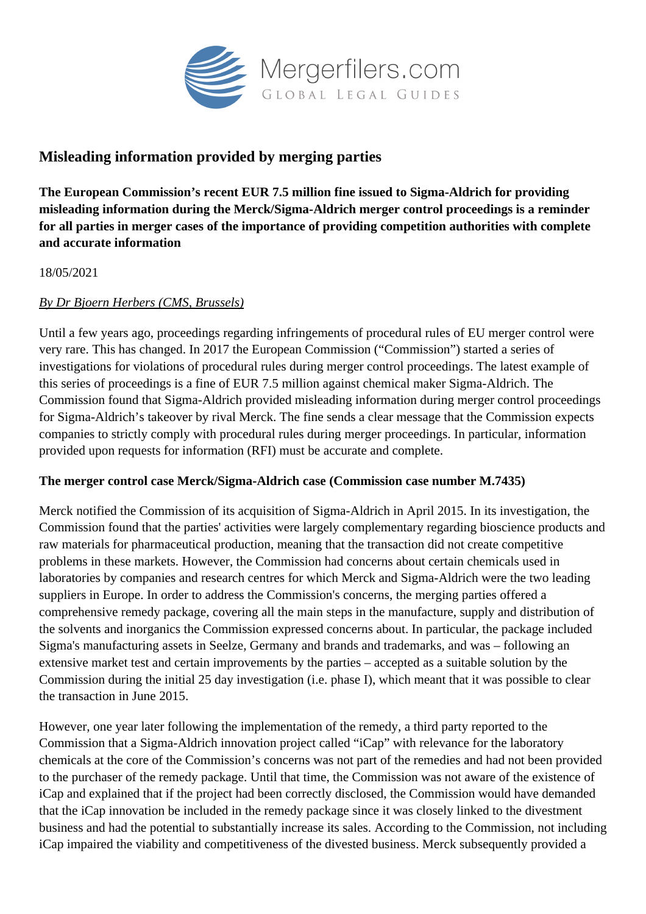

# **Misleading information provided by merging parties**

**The European Commission's recent EUR 7.5 million fine issued to Sigma-Aldrich for providing misleading information during the Merck/Sigma-Aldrich merger control proceedings is a reminder for all parties in merger cases of the importance of providing competition authorities with complete and accurate information**

#### 18/05/2021

### *By Dr Bjoern Herbers (CMS, Brussels)*

Until a few years ago, proceedings regarding infringements of procedural rules of EU merger control were very rare. This has changed. In 2017 the European Commission ("Commission") started a series of investigations for violations of procedural rules during merger control proceedings. The latest example of this series of proceedings is a fine of EUR 7.5 million against chemical maker Sigma-Aldrich. The Commission found that Sigma-Aldrich provided misleading information during merger control proceedings for Sigma-Aldrich's takeover by rival Merck. The fine sends a clear message that the Commission expects companies to strictly comply with procedural rules during merger proceedings. In particular, information provided upon requests for information (RFI) must be accurate and complete.

#### **The merger control case Merck/Sigma-Aldrich case (Commission case number M.7435)**

Merck notified the Commission of its acquisition of Sigma-Aldrich in April 2015. In its investigation, the Commission found that the parties' activities were largely complementary regarding bioscience products and raw materials for pharmaceutical production, meaning that the transaction did not create competitive problems in these markets. However, the Commission had concerns about certain chemicals used in laboratories by companies and research centres for which Merck and Sigma-Aldrich were the two leading suppliers in Europe. In order to address the Commission's concerns, the merging parties offered a comprehensive remedy package, covering all the main steps in the manufacture, supply and distribution of the solvents and inorganics the Commission expressed concerns about. In particular, the package included Sigma's manufacturing assets in Seelze, Germany and brands and trademarks, and was – following an extensive market test and certain improvements by the parties – accepted as a suitable solution by the Commission during the initial 25 day investigation (i.e. phase I), which meant that it was possible to clear the transaction in June 2015.

However, one year later following the implementation of the remedy, a third party reported to the Commission that a Sigma-Aldrich innovation project called "iCap" with relevance for the laboratory chemicals at the core of the Commission's concerns was not part of the remedies and had not been provided to the purchaser of the remedy package. Until that time, the Commission was not aware of the existence of iCap and explained that if the project had been correctly disclosed, the Commission would have demanded that the iCap innovation be included in the remedy package since it was closely linked to the divestment business and had the potential to substantially increase its sales. According to the Commission, not including iCap impaired the viability and competitiveness of the divested business. Merck subsequently provided a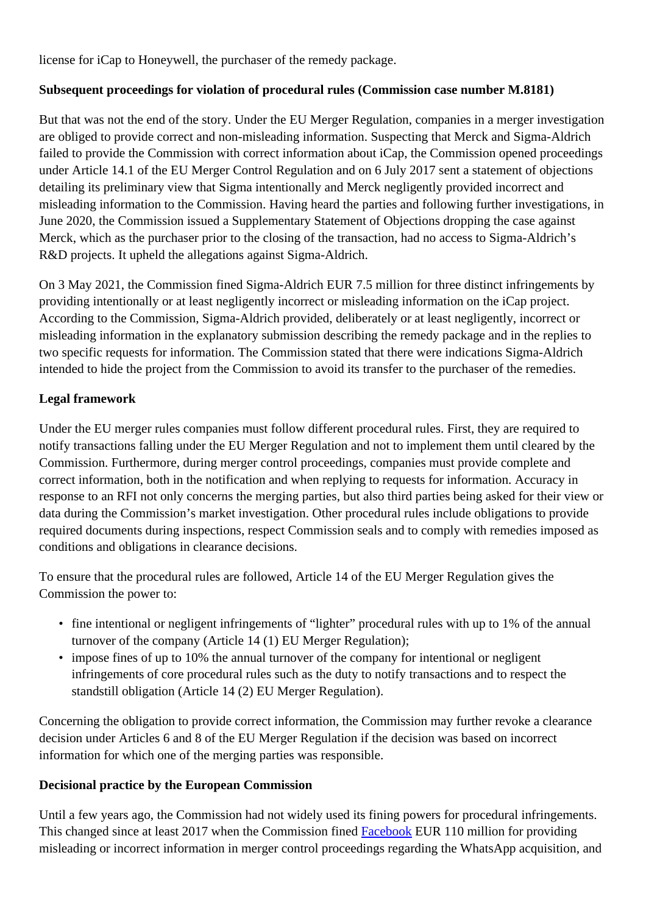license for iCap to Honeywell, the purchaser of the remedy package.

## **Subsequent proceedings for violation of procedural rules (Commission case number M.8181)**

But that was not the end of the story. Under the EU Merger Regulation, companies in a merger investigation are obliged to provide correct and non-misleading information. Suspecting that Merck and Sigma-Aldrich failed to provide the Commission with correct information about iCap, the Commission opened proceedings under Article 14.1 of the EU Merger Control Regulation and on 6 July 2017 sent a statement of objections detailing its preliminary view that Sigma intentionally and Merck negligently provided incorrect and misleading information to the Commission. Having heard the parties and following further investigations, in June 2020, the Commission issued a Supplementary Statement of Objections dropping the case against Merck, which as the purchaser prior to the closing of the transaction, had no access to Sigma-Aldrich's R&D projects. It upheld the allegations against Sigma-Aldrich.

On 3 May 2021, the Commission fined Sigma-Aldrich EUR 7.5 million for three distinct infringements by providing intentionally or at least negligently incorrect or misleading information on the iCap project. According to the Commission, Sigma-Aldrich provided, deliberately or at least negligently, incorrect or misleading information in the explanatory submission describing the remedy package and in the replies to two specific requests for information. The Commission stated that there were indications Sigma-Aldrich intended to hide the project from the Commission to avoid its transfer to the purchaser of the remedies.

## **Legal framework**

Under the EU merger rules companies must follow different procedural rules. First, they are required to notify transactions falling under the EU Merger Regulation and not to implement them until cleared by the Commission. Furthermore, during merger control proceedings, companies must provide complete and correct information, both in the notification and when replying to requests for information. Accuracy in response to an RFI not only concerns the merging parties, but also third parties being asked for their view or data during the Commission's market investigation. Other procedural rules include obligations to provide required documents during inspections, respect Commission seals and to comply with remedies imposed as conditions and obligations in clearance decisions.

To ensure that the procedural rules are followed, Article 14 of the EU Merger Regulation gives the Commission the power to:

- fine intentional or negligent infringements of "lighter" procedural rules with up to 1% of the annual turnover of the company (Article 14 (1) EU Merger Regulation);
- impose fines of up to 10% the annual turnover of the company for intentional or negligent infringements of core procedural rules such as the duty to notify transactions and to respect the standstill obligation (Article 14 (2) EU Merger Regulation).

Concerning the obligation to provide correct information, the Commission may further revoke a clearance decision under Articles 6 and 8 of the EU Merger Regulation if the decision was based on incorrect information for which one of the merging parties was responsible.

## **Decisional practice by the European Commission**

Until a few years ago, the Commission had not widely used its fining powers for procedural infringements. This changed since at least 2017 when the Commission fined [Facebook](https://ec.europa.eu/commission/presscorner/detail/en/IP_17_1369) EUR 110 million for providing misleading or incorrect information in merger control proceedings regarding the WhatsApp acquisition, and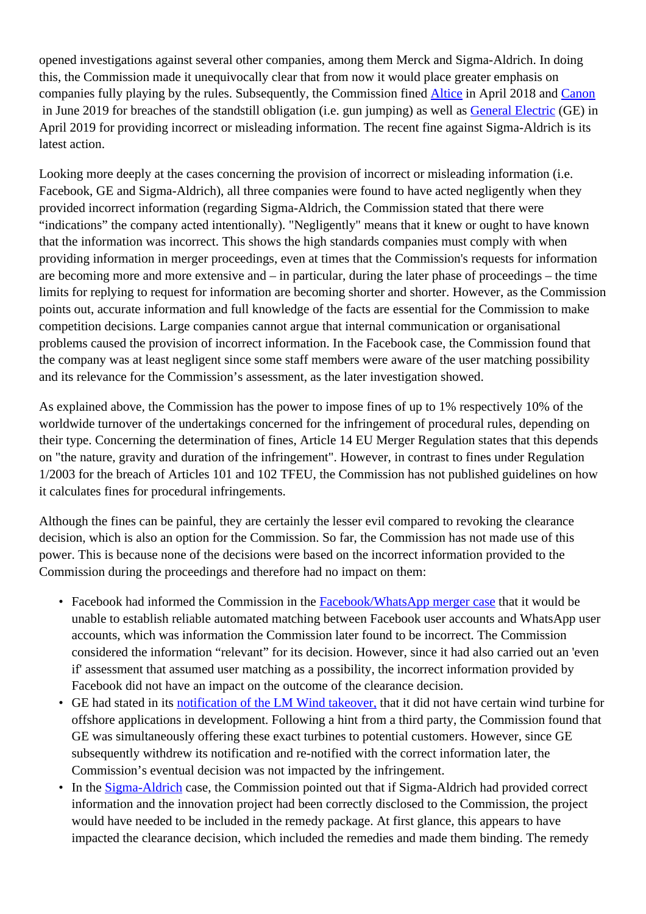opened investigations against several other companies, among them Merck and Sigma-Aldrich. In doing this, the Commission made it unequivocally clear that from now it would place greater emphasis on companies fully playing by the rules. Subsequently, the Commission fined [Altice](https://ec.europa.eu/commission/presscorner/detail/en/IP_18_3522) in April 2018 and [Canon](https://ec.europa.eu/commission/presscorner/detail/en/IP_19_3429) in June 2019 for breaches of the standstill obligation (i.e. gun jumping) as well as **General Electric** (GE) in April 2019 for providing incorrect or misleading information. The recent fine against Sigma-Aldrich is its latest action.

Looking more deeply at the cases concerning the provision of incorrect or misleading information (i.e. Facebook, GE and Sigma-Aldrich), all three companies were found to have acted negligently when they provided incorrect information (regarding Sigma-Aldrich, the Commission stated that there were "indications" the company acted intentionally). "Negligently" means that it knew or ought to have known that the information was incorrect. This shows the high standards companies must comply with when providing information in merger proceedings, even at times that the Commission's requests for information are becoming more and more extensive and – in particular, during the later phase of proceedings – the time limits for replying to request for information are becoming shorter and shorter. However, as the Commission points out, accurate information and full knowledge of the facts are essential for the Commission to make competition decisions. Large companies cannot argue that internal communication or organisational problems caused the provision of incorrect information. In the Facebook case, the Commission found that the company was at least negligent since some staff members were aware of the user matching possibility and its relevance for the Commission's assessment, as the later investigation showed.

As explained above, the Commission has the power to impose fines of up to 1% respectively 10% of the worldwide turnover of the undertakings concerned for the infringement of procedural rules, depending on their type. Concerning the determination of fines, Article 14 EU Merger Regulation states that this depends on "the nature, gravity and duration of the infringement". However, in contrast to fines under Regulation 1/2003 for the breach of Articles 101 and 102 TFEU, the Commission has not published guidelines on how it calculates fines for procedural infringements.

Although the fines can be painful, they are certainly the lesser evil compared to revoking the clearance decision, which is also an option for the Commission. So far, the Commission has not made use of this power. This is because none of the decisions were based on the incorrect information provided to the Commission during the proceedings and therefore had no impact on them:

- Facebook had informed the Commission in the **Facebook/WhatsApp merger case** that it would be unable to establish reliable automated matching between Facebook user accounts and WhatsApp user accounts, which was information the Commission later found to be incorrect. The Commission considered the information "relevant" for its decision. However, since it had also carried out an 'even if' assessment that assumed user matching as a possibility, the incorrect information provided by Facebook did not have an impact on the outcome of the clearance decision.
- GE had stated in its [notification of the LM Wind takeover,](https://ec.europa.eu/competition/elojade/isef/case_details.cfm?proc_code=2_M_8283) that it did not have certain wind turbine for offshore applications in development. Following a hint from a third party, the Commission found that GE was simultaneously offering these exact turbines to potential customers. However, since GE subsequently withdrew its notification and re-notified with the correct information later, the Commission's eventual decision was not impacted by the infringement.
- In the **Sigma-Aldrich** case, the Commission pointed out that if [Sigma-Aldrich](https://ec.europa.eu/competition/elojade/isef/case_details.cfm?proc_code=2_M_7435) had provided correct information and the innovation project had been correctly disclosed to the Commission, the project would have needed to be included in the remedy package. At first glance, this appears to have impacted the clearance decision, which included the remedies and made them binding. The remedy